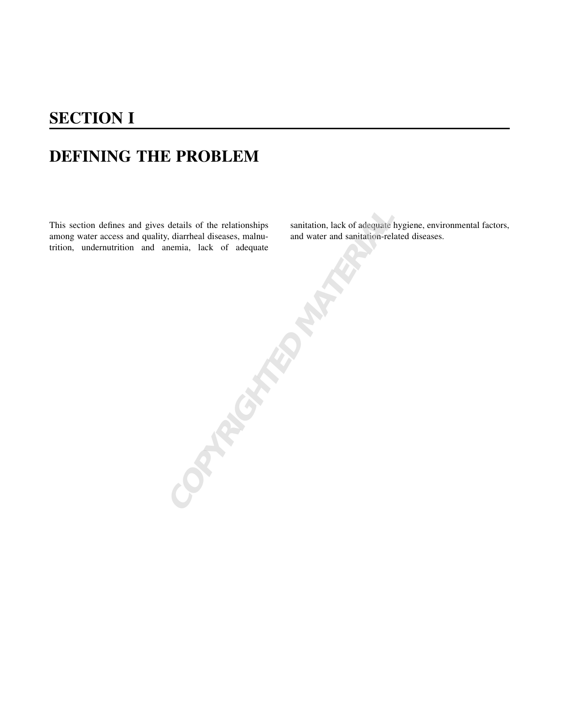# SECTION I

# DEFINING THE PROBLEM

This section defines and gives details of the relationships among water access and quality, diarrheal diseases, malnutrition, undernutrition and anemia, lack of adequate sanitation, lack of adequate hygiene, environmental factors, and water and sanitation-related diseases.

and water and sales and water and water and water and company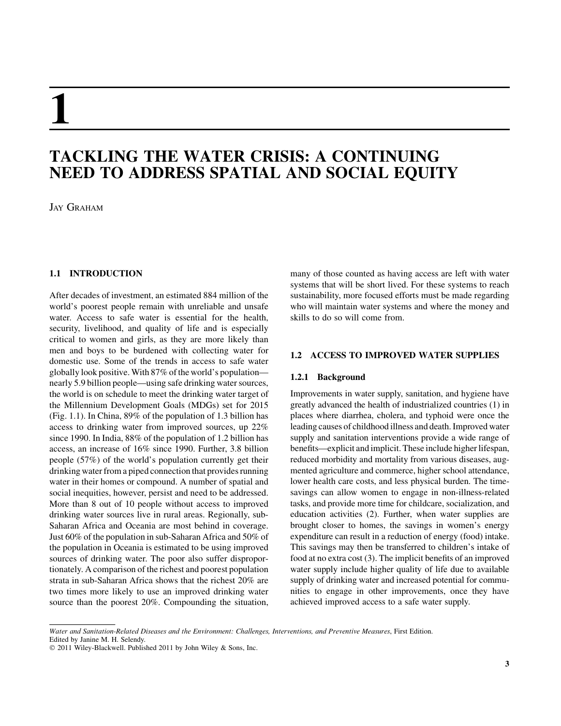# 1

# TACKLING THE WATER CRISIS: A CONTINUING NEED TO ADDRESS SPATIAL AND SOCIAL EQUITY

JAY GRAHAM

## 1.1 INTRODUCTION

After decades of investment, an estimated 884 million of the world's poorest people remain with unreliable and unsafe water. Access to safe water is essential for the health, security, livelihood, and quality of life and is especially critical to women and girls, as they are more likely than men and boys to be burdened with collecting water for domestic use. Some of the trends in access to safe water globally look positive.With 87% of the world's population nearly 5.9 billion people—using safe drinking water sources, the world is on schedule to meet the drinking water target of the Millennium Development Goals (MDGs) set for 2015 (Fig. 1.1). In China, 89% of the population of 1.3 billion has access to drinking water from improved sources, up 22% since 1990. In India, 88% of the population of 1.2 billion has access, an increase of 16% since 1990. Further, 3.8 billion people (57%) of the world's population currently get their drinking water from a piped connection that provides running water in their homes or compound. A number of spatial and social inequities, however, persist and need to be addressed. More than 8 out of 10 people without access to improved drinking water sources live in rural areas. Regionally, sub-Saharan Africa and Oceania are most behind in coverage. Just 60% of the population in sub-Saharan Africa and 50% of the population in Oceania is estimated to be using improved sources of drinking water. The poor also suffer disproportionately. A comparison of the richest and poorest population strata in sub-Saharan Africa shows that the richest 20% are two times more likely to use an improved drinking water source than the poorest 20%. Compounding the situation,

many of those counted as having access are left with water systems that will be short lived. For these systems to reach sustainability, more focused efforts must be made regarding who will maintain water systems and where the money and skills to do so will come from.

## 1.2 ACCESS TO IMPROVED WATER SUPPLIES

#### 1.2.1 Background

Improvements in water supply, sanitation, and hygiene have greatly advanced the health of industrialized countries (1) in places where diarrhea, cholera, and typhoid were once the leading causes of childhood illness and death. Improved water supply and sanitation interventions provide a wide range of benefits—explicit and implicit. These include higher lifespan, reduced morbidity and mortality from various diseases, augmented agriculture and commerce, higher school attendance, lower health care costs, and less physical burden. The timesavings can allow women to engage in non-illness-related tasks, and provide more time for childcare, socialization, and education activities (2). Further, when water supplies are brought closer to homes, the savings in women's energy expenditure can result in a reduction of energy (food) intake. This savings may then be transferred to children's intake of food at no extra cost (3). The implicit benefits of an improved water supply include higher quality of life due to available supply of drinking water and increased potential for communities to engage in other improvements, once they have achieved improved access to a safe water supply.

Water and Sanitation-Related Diseases and the Environment: Challenges, Interventions, and Preventive Measures, First Edition. Edited by Janine M. H. Selendy.

2011 Wiley-Blackwell. Published 2011 by John Wiley & Sons, Inc.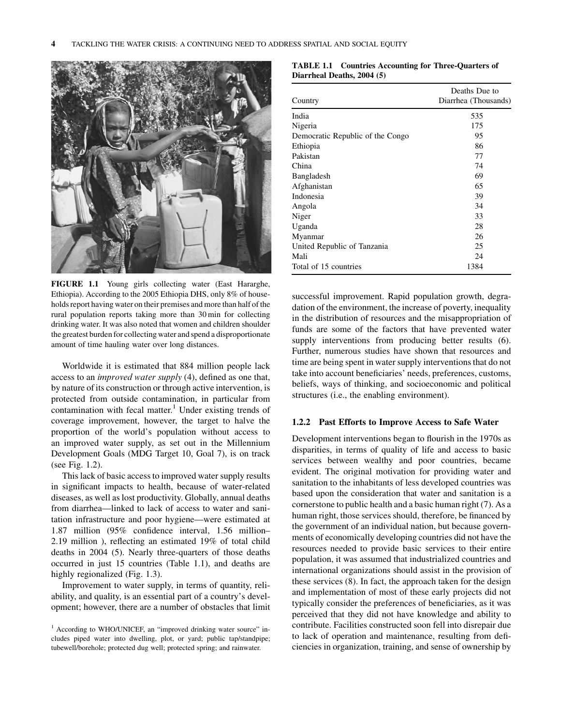

FIGURE 1.1 Young girls collecting water (East Hararghe, Ethiopia). According to the 2005 Ethiopia DHS, only 8% of households report having water on their premises and more than half of the rural population reports taking more than 30 min for collecting drinking water. It was also noted that women and children shoulder the greatest burden for collecting water and spend a disproportionate amount of time hauling water over long distances.

Worldwide it is estimated that 884 million people lack access to an improved water supply (4), defined as one that, by nature of its construction or through active intervention, is protected from outside contamination, in particular from contamination with fecal matter.<sup>1</sup> Under existing trends of coverage improvement, however, the target to halve the proportion of the world's population without access to an improved water supply, as set out in the Millennium Development Goals (MDG Target 10, Goal 7), is on track (see Fig. 1.2).

This lack of basic access to improved water supply results in significant impacts to health, because of water-related diseases, as well as lost productivity. Globally, annual deaths from diarrhea—linked to lack of access to water and sanitation infrastructure and poor hygiene—were estimated at 1.87 million (95% confidence interval, 1.56 million– 2.19 million ), reflecting an estimated 19% of total child deaths in 2004 (5). Nearly three-quarters of those deaths occurred in just 15 countries (Table 1.1), and deaths are highly regionalized (Fig. 1.3).

Improvement to water supply, in terms of quantity, reliability, and quality, is an essential part of a country's development; however, there are a number of obstacles that limit

| Country                          | Deaths Due to<br>Diarrhea (Thousands) |
|----------------------------------|---------------------------------------|
| India                            | 535                                   |
| Nigeria                          | 175                                   |
| Democratic Republic of the Congo | 95                                    |
| Ethiopia                         | 86                                    |
| Pakistan                         | 77                                    |
| China                            | 74                                    |
| Bangladesh                       | 69                                    |
| Afghanistan                      | 65                                    |
| Indonesia                        | 39                                    |
| Angola                           | 34                                    |
| Niger                            | 33                                    |
| Uganda                           | 28                                    |
|                                  |                                       |

Myanmar 26 United Republic of Tanzania 25 Mali 24 Total of 15 countries 1384

TABLE 1.1 Countries Accounting for Three-Quarters of Diarrheal Deaths, 2004 (5)

successful improvement. Rapid population growth, degradation of the environment, the increase of poverty, inequality in the distribution of resources and the misappropriation of funds are some of the factors that have prevented water supply interventions from producing better results (6). Further, numerous studies have shown that resources and time are being spent in water supply interventions that do not take into account beneficiaries' needs, preferences, customs, beliefs, ways of thinking, and socioeconomic and political structures (i.e., the enabling environment).

#### 1.2.2 Past Efforts to Improve Access to Safe Water

Development interventions began to flourish in the 1970s as disparities, in terms of quality of life and access to basic services between wealthy and poor countries, became evident. The original motivation for providing water and sanitation to the inhabitants of less developed countries was based upon the consideration that water and sanitation is a cornerstone to public health and a basic human right (7). As a human right, those services should, therefore, be financed by the government of an individual nation, but because governments of economically developing countries did not have the resources needed to provide basic services to their entire population, it was assumed that industrialized countries and international organizations should assist in the provision of these services (8). In fact, the approach taken for the design and implementation of most of these early projects did not typically consider the preferences of beneficiaries, as it was perceived that they did not have knowledge and ability to contribute. Facilities constructed soon fell into disrepair due to lack of operation and maintenance, resulting from deficiencies in organization, training, and sense of ownership by

<sup>&</sup>lt;sup>1</sup> According to WHO/UNICEF, an "improved drinking water source" includes piped water into dwelling, plot, or yard; public tap/standpipe; tubewell/borehole; protected dug well; protected spring; and rainwater.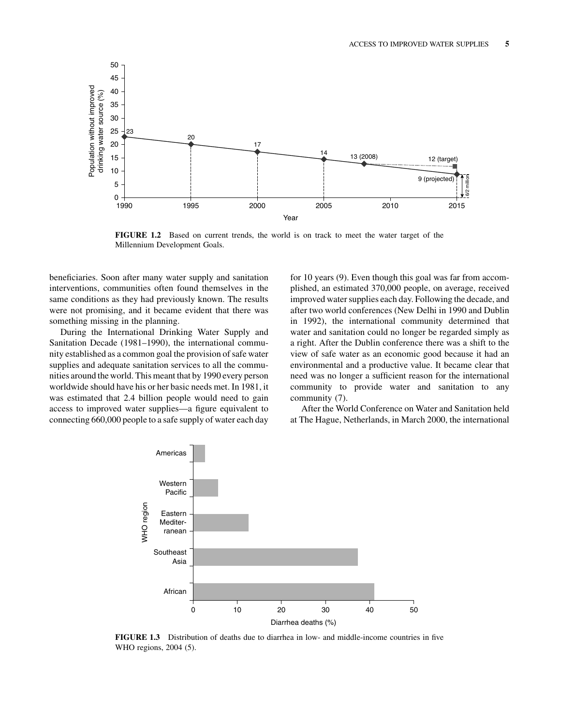

FIGURE 1.2 Based on current trends, the world is on track to meet the water target of the Millennium Development Goals.

beneficiaries. Soon after many water supply and sanitation interventions, communities often found themselves in the same conditions as they had previously known. The results were not promising, and it became evident that there was something missing in the planning.

During the International Drinking Water Supply and Sanitation Decade (1981–1990), the international community established as a common goal the provision of safe water supplies and adequate sanitation services to all the communities around the world. This meant that by 1990 every person worldwide should have his or her basic needs met. In 1981, it was estimated that 2.4 billion people would need to gain access to improved water supplies—a figure equivalent to connecting 660,000 people to a safe supply of water each day

for 10 years (9). Even though this goal was far from accomplished, an estimated 370,000 people, on average, received improved water supplies each day. Following the decade, and after two world conferences (New Delhi in 1990 and Dublin in 1992), the international community determined that water and sanitation could no longer be regarded simply as a right. After the Dublin conference there was a shift to the view of safe water as an economic good because it had an environmental and a productive value. It became clear that need was no longer a sufficient reason for the international community to provide water and sanitation to any community (7).

After the World Conference on Water and Sanitation held at The Hague, Netherlands, in March 2000, the international



FIGURE 1.3 Distribution of deaths due to diarrhea in low- and middle-income countries in five WHO regions, 2004 (5).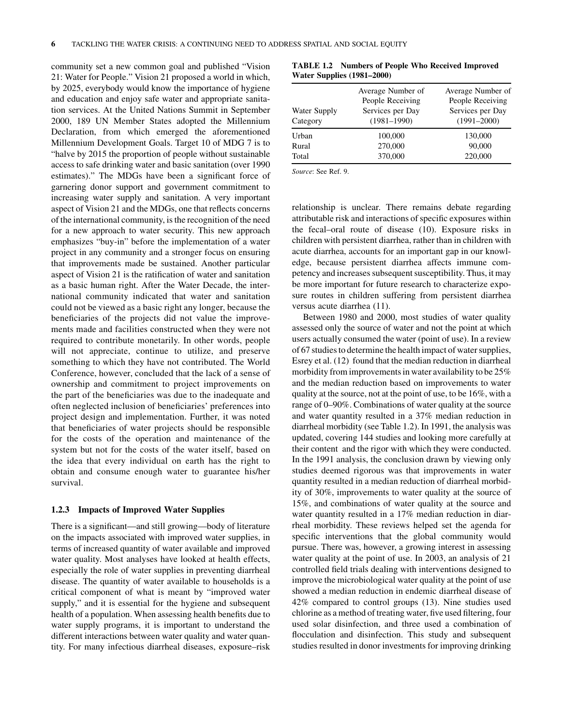community set a new common goal and published "Vision 21: Water for People." Vision 21 proposed a world in which, by 2025, everybody would know the importance of hygiene and education and enjoy safe water and appropriate sanitation services. At the United Nations Summit in September 2000, 189 UN Member States adopted the Millennium Declaration, from which emerged the aforementioned Millennium Development Goals. Target 10 of MDG 7 is to "halve by 2015 the proportion of people without sustainable access to safe drinking water and basic sanitation (over 1990 estimates)." The MDGs have been a significant force of garnering donor support and government commitment to increasing water supply and sanitation. A very important aspect of Vision 21 and the MDGs, one that reflects concerns of the international community, is the recognition of the need for a new approach to water security. This new approach emphasizes "buy-in" before the implementation of a water project in any community and a stronger focus on ensuring that improvements made be sustained. Another particular aspect of Vision 21 is the ratification of water and sanitation as a basic human right. After the Water Decade, the international community indicated that water and sanitation could not be viewed as a basic right any longer, because the beneficiaries of the projects did not value the improvements made and facilities constructed when they were not required to contribute monetarily. In other words, people will not appreciate, continue to utilize, and preserve something to which they have not contributed. The World Conference, however, concluded that the lack of a sense of ownership and commitment to project improvements on the part of the beneficiaries was due to the inadequate and often neglected inclusion of beneficiaries' preferences into project design and implementation. Further, it was noted that beneficiaries of water projects should be responsible for the costs of the operation and maintenance of the system but not for the costs of the water itself, based on the idea that every individual on earth has the right to obtain and consume enough water to guarantee his/her survival.

#### 1.2.3 Impacts of Improved Water Supplies

There is a significant—and still growing—body of literature on the impacts associated with improved water supplies, in terms of increased quantity of water available and improved water quality. Most analyses have looked at health effects, especially the role of water supplies in preventing diarrheal disease. The quantity of water available to households is a critical component of what is meant by "improved water supply," and it is essential for the hygiene and subsequent health of a population. When assessing health benefits due to water supply programs, it is important to understand the different interactions between water quality and water quantity. For many infectious diarrheal diseases, exposure–risk

| Water Supplies (1981–2000) |                   |                   |  |  |
|----------------------------|-------------------|-------------------|--|--|
|                            | Average Number of | Average Number of |  |  |
|                            | People Receiving  | People Receiving  |  |  |
| Water Supply               | Services per Day  | Services per Day  |  |  |

TABLE 1.2 Numbers of People Who Received Improved

|                          | AVERIGE INITIATION OF               | Average infinition of               |  |
|--------------------------|-------------------------------------|-------------------------------------|--|
|                          | People Receiving                    | People Receiving                    |  |
| Water Supply<br>Category | Services per Day<br>$(1981 - 1990)$ | Services per Day<br>$(1991 - 2000)$ |  |
| Urban                    | 100,000                             | 130,000                             |  |
| Rural                    | 270,000                             | 90,000                              |  |
| Total                    | 370,000                             | 220,000                             |  |

Source: See Ref. 9.

relationship is unclear. There remains debate regarding attributable risk and interactions of specific exposures within the fecal–oral route of disease (10). Exposure risks in children with persistent diarrhea, rather than in children with acute diarrhea, accounts for an important gap in our knowledge, because persistent diarrhea affects immune competency and increases subsequent susceptibility. Thus, it may be more important for future research to characterize exposure routes in children suffering from persistent diarrhea versus acute diarrhea (11).

Between 1980 and 2000, most studies of water quality assessed only the source of water and not the point at which users actually consumed the water (point of use). In a review of 67 studies to determine the health impact of water supplies, Esrey et al. (12) found that the median reduction in diarrheal morbidity from improvements in water availability to be 25% and the median reduction based on improvements to water quality at the source, not at the point of use, to be 16%, with a range of 0–90%. Combinations of water quality at the source and water quantity resulted in a 37% median reduction in diarrheal morbidity (see Table 1.2). In 1991, the analysis was updated, covering 144 studies and looking more carefully at their content and the rigor with which they were conducted. In the 1991 analysis, the conclusion drawn by viewing only studies deemed rigorous was that improvements in water quantity resulted in a median reduction of diarrheal morbidity of 30%, improvements to water quality at the source of 15%, and combinations of water quality at the source and water quantity resulted in a 17% median reduction in diarrheal morbidity. These reviews helped set the agenda for specific interventions that the global community would pursue. There was, however, a growing interest in assessing water quality at the point of use. In 2003, an analysis of 21 controlled field trials dealing with interventions designed to improve the microbiological water quality at the point of use showed a median reduction in endemic diarrheal disease of 42% compared to control groups (13). Nine studies used chlorine as a method of treating water, five used filtering, four used solar disinfection, and three used a combination of flocculation and disinfection. This study and subsequent studies resulted in donor investments for improving drinking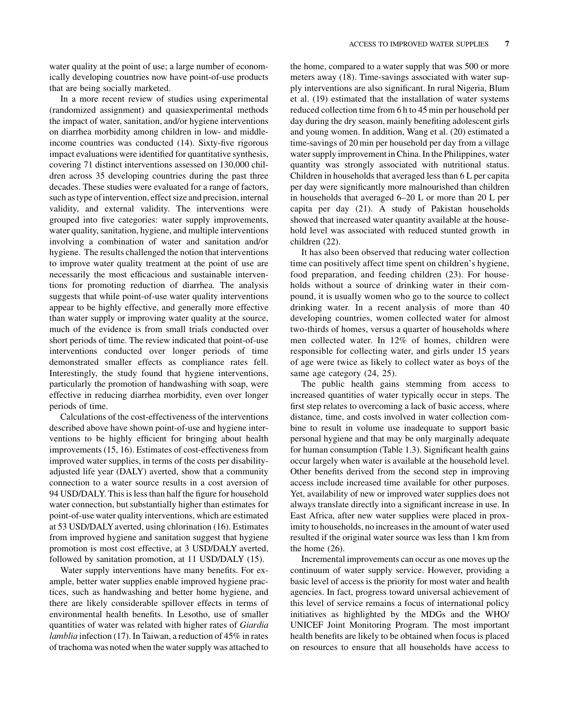In a more recent review of studies using experimental (randomized assignment) and quasiexperimental methods the impact of water, sanitation, and/or hygiene interventions on diarrhea morbidity among children in low- and middleincome countries was conducted (14). Sixty-five rigorous impact evaluations were identified for quantitative synthesis, covering 71 distinct interventions assessed on 130,000 children across 35 developing countries during the past three decades. These studies were evaluated for a range of factors, such as type of intervention, effect size and precision, internal validity, and external validity. The interventions were grouped into five categories: water supply improvements, water quality, sanitation, hygiene, and multiple interventions involving a combination of water and sanitation and/or hygiene. The results challenged the notion that interventions to improve water quality treatment at the point of use are necessarily the most efficacious and sustainable interventions for promoting reduction of diarrhea. The analysis suggests that while point-of-use water quality interventions appear to be highly effective, and generally more effective than water supply or improving water quality at the source, much of the evidence is from small trials conducted over short periods of time. The review indicated that point-of-use interventions conducted over longer periods of time demonstrated smaller effects as compliance rates fell. Interestingly, the study found that hygiene interventions, particularly the promotion of handwashing with soap, were effective in reducing diarrhea morbidity, even over longer periods of time.

Calculations of the cost-effectiveness of the interventions described above have shown point-of-use and hygiene interventions to be highly efficient for bringing about health improvements (15, 16). Estimates of cost-effectiveness from improved water supplies, in terms of the costs per disabilityadjusted life year (DALY) averted, show that a community connection to a water source results in a cost aversion of 94 USD/DALY. This is less than half the figure for household water connection, but substantially higher than estimates for point-of-use water quality interventions, which are estimated at 53 USD/DALYaverted, using chlorination (16). Estimates from improved hygiene and sanitation suggest that hygiene promotion is most cost effective, at 3 USD/DALY averted, followed by sanitation promotion, at 11 USD/DALY (15).

Water supply interventions have many benefits. For example, better water supplies enable improved hygiene practices, such as handwashing and better home hygiene, and there are likely considerable spillover effects in terms of environmental health benefits. In Lesotho, use of smaller quantities of water was related with higher rates of Giardia lamblia infection (17). In Taiwan, a reduction of 45% in rates of trachoma was noted when the water supply was attached to the home, compared to a water supply that was 500 or more meters away (18). Time-savings associated with water supply interventions are also significant. In rural Nigeria, Blum et al. (19) estimated that the installation of water systems reduced collection time from 6 h to 45 min per household per day during the dry season, mainly benefiting adolescent girls and young women. In addition, Wang et al. (20) estimated a time-savings of 20 min per household per day from a village water supply improvement in China. In the Philippines, water quantity was strongly associated with nutritional status. Children in households that averaged less than 6 L per capita per day were significantly more malnourished than children in households that averaged 6–20 L or more than 20 L per capita per day (21). A study of Pakistan households showed that increased water quantity available at the household level was associated with reduced stunted growth in children (22).

It has also been observed that reducing water collection time can positively affect time spent on children's hygiene, food preparation, and feeding children (23). For households without a source of drinking water in their compound, it is usually women who go to the source to collect drinking water. In a recent analysis of more than 40 developing countries, women collected water for almost two-thirds of homes, versus a quarter of households where men collected water. In 12% of homes, children were responsible for collecting water, and girls under 15 years of age were twice as likely to collect water as boys of the same age category (24, 25).

The public health gains stemming from access to increased quantities of water typically occur in steps. The first step relates to overcoming a lack of basic access, where distance, time, and costs involved in water collection combine to result in volume use inadequate to support basic personal hygiene and that may be only marginally adequate for human consumption (Table 1.3). Significant health gains occur largely when water is available at the household level. Other benefits derived from the second step in improving access include increased time available for other purposes. Yet, availability of new or improved water supplies does not always translate directly into a significant increase in use. In East Africa, after new water supplies were placed in proximity to households, no increases in the amount of water used resulted if the original water source was less than 1 km from the home (26).

Incremental improvements can occur as one moves up the continuum of water supply service. However, providing a basic level of access is the priority for most water and health agencies. In fact, progress toward universal achievement of this level of service remains a focus of international policy initiatives as highlighted by the MDGs and the WHO/ UNICEF Joint Monitoring Program. The most important health benefits are likely to be obtained when focus is placed on resources to ensure that all households have access to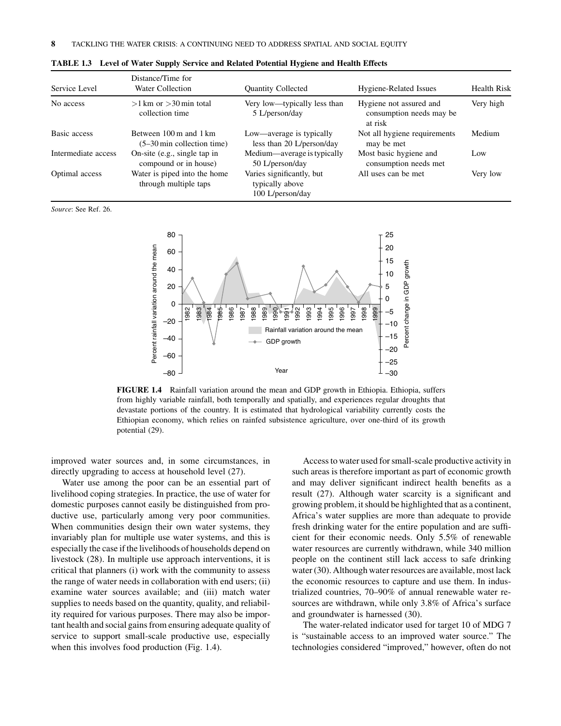| Service Level       | Distance/Time for<br><b>Water Collection</b>                   | <b>Ouantity Collected</b>                                        | Hygiene-Related Issues                                         | Health Risk |
|---------------------|----------------------------------------------------------------|------------------------------------------------------------------|----------------------------------------------------------------|-------------|
| No access           | $>1$ km or $>30$ min total<br>collection time                  | Very low—typically less than<br>5 L/person/day                   | Hygiene not assured and<br>consumption needs may be<br>at risk | Very high   |
| Basic access        | Between 100 m and 1 km<br>$(5-30 \text{ min}$ collection time) | Low—average is typically<br>less than 20 L/person/day            | Not all hygiene requirements<br>may be met                     | Medium      |
| Intermediate access | On-site (e.g., single tap in<br>compound or in house)          | Medium—average is typically<br>50 L/person/day                   | Most basic hygiene and<br>consumption needs met                | Low         |
| Optimal access      | Water is piped into the home<br>through multiple taps          | Varies significantly, but<br>typically above<br>100 L/person/day | All uses can be met                                            | Very low    |

TABLE 1.3 Level of Water Supply Service and Related Potential Hygiene and Health Effects

Source: See Ref. 26.



FIGURE 1.4 Rainfall variation around the mean and GDP growth in Ethiopia. Ethiopia, suffers from highly variable rainfall, both temporally and spatially, and experiences regular droughts that devastate portions of the country. It is estimated that hydrological variability currently costs the Ethiopian economy, which relies on rainfed subsistence agriculture, over one-third of its growth potential (29).

improved water sources and, in some circumstances, in directly upgrading to access at household level (27).

Water use among the poor can be an essential part of livelihood coping strategies. In practice, the use of water for domestic purposes cannot easily be distinguished from productive use, particularly among very poor communities. When communities design their own water systems, they invariably plan for multiple use water systems, and this is especially the case if the livelihoods of households depend on livestock (28). In multiple use approach interventions, it is critical that planners (i) work with the community to assess the range of water needs in collaboration with end users; (ii) examine water sources available; and (iii) match water supplies to needs based on the quantity, quality, and reliability required for various purposes. There may also be important health and social gains from ensuring adequate quality of service to support small-scale productive use, especially when this involves food production (Fig. 1.4).

Access to water used for small-scale productive activity in such areas is therefore important as part of economic growth and may deliver significant indirect health benefits as a result (27). Although water scarcity is a significant and growing problem, it should be highlighted that as a continent, Africa's water supplies are more than adequate to provide fresh drinking water for the entire population and are sufficient for their economic needs. Only 5.5% of renewable water resources are currently withdrawn, while 340 million people on the continent still lack access to safe drinking water (30). Although water resources are available, most lack the economic resources to capture and use them. In industrialized countries, 70–90% of annual renewable water resources are withdrawn, while only 3.8% of Africa's surface and groundwater is harnessed (30).

The water-related indicator used for target 10 of MDG 7 is "sustainable access to an improved water source." The technologies considered "improved," however, often do not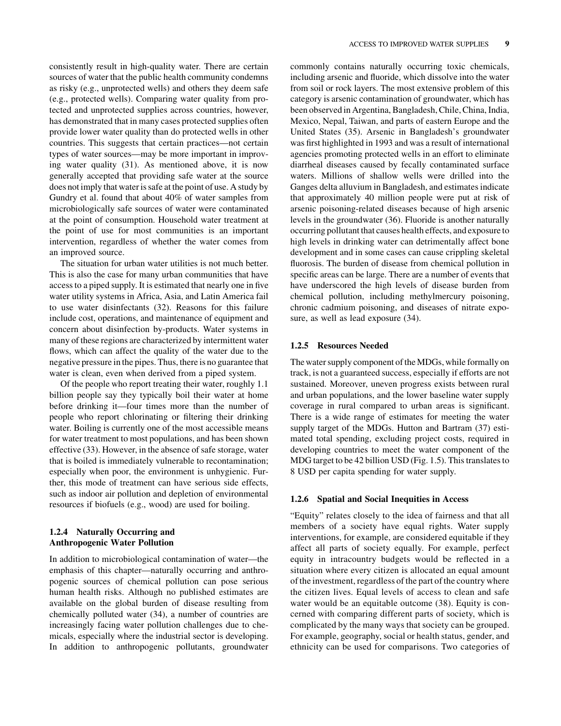consistently result in high-quality water. There are certain sources of water that the public health community condemns as risky (e.g., unprotected wells) and others they deem safe (e.g., protected wells). Comparing water quality from protected and unprotected supplies across countries, however, has demonstrated that in many cases protected supplies often provide lower water quality than do protected wells in other countries. This suggests that certain practices—not certain types of water sources—may be more important in improving water quality (31). As mentioned above, it is now generally accepted that providing safe water at the source does not imply that water is safe at the point of use. A study by Gundry et al. found that about 40% of water samples from microbiologically safe sources of water were contaminated at the point of consumption. Household water treatment at the point of use for most communities is an important intervention, regardless of whether the water comes from an improved source.

The situation for urban water utilities is not much better. This is also the case for many urban communities that have access to a piped supply. It is estimated that nearly one in five water utility systems in Africa, Asia, and Latin America fail to use water disinfectants (32). Reasons for this failure include cost, operations, and maintenance of equipment and concern about disinfection by-products. Water systems in many of these regions are characterized by intermittent water flows, which can affect the quality of the water due to the negative pressure in the pipes. Thus, there is no guarantee that water is clean, even when derived from a piped system.

Of the people who report treating their water, roughly 1.1 billion people say they typically boil their water at home before drinking it—four times more than the number of people who report chlorinating or filtering their drinking water. Boiling is currently one of the most accessible means for water treatment to most populations, and has been shown effective (33). However, in the absence of safe storage, water that is boiled is immediately vulnerable to recontamination; especially when poor, the environment is unhygienic. Further, this mode of treatment can have serious side effects, such as indoor air pollution and depletion of environmental resources if biofuels (e.g., wood) are used for boiling.

## 1.2.4 Naturally Occurring and Anthropogenic Water Pollution

In addition to microbiological contamination of water—the emphasis of this chapter—naturally occurring and anthropogenic sources of chemical pollution can pose serious human health risks. Although no published estimates are available on the global burden of disease resulting from chemically polluted water (34), a number of countries are increasingly facing water pollution challenges due to chemicals, especially where the industrial sector is developing. In addition to anthropogenic pollutants, groundwater commonly contains naturally occurring toxic chemicals, including arsenic and fluoride, which dissolve into the water from soil or rock layers. The most extensive problem of this category is arsenic contamination of groundwater, which has been observed in Argentina, Bangladesh, Chile, China, India, Mexico, Nepal, Taiwan, and parts of eastern Europe and the United States (35). Arsenic in Bangladesh's groundwater was first highlighted in 1993 and was a result of international agencies promoting protected wells in an effort to eliminate diarrheal diseases caused by fecally contaminated surface waters. Millions of shallow wells were drilled into the Ganges delta alluvium in Bangladesh, and estimates indicate that approximately 40 million people were put at risk of arsenic poisoning-related diseases because of high arsenic levels in the groundwater (36). Fluoride is another naturally occurring pollutant that causes health effects, and exposure to high levels in drinking water can detrimentally affect bone development and in some cases can cause crippling skeletal fluorosis. The burden of disease from chemical pollution in specific areas can be large. There are a number of events that have underscored the high levels of disease burden from chemical pollution, including methylmercury poisoning, chronic cadmium poisoning, and diseases of nitrate exposure, as well as lead exposure (34).

#### 1.2.5 Resources Needed

The water supply component of the MDGs, while formally on track, is not a guaranteed success, especially if efforts are not sustained. Moreover, uneven progress exists between rural and urban populations, and the lower baseline water supply coverage in rural compared to urban areas is significant. There is a wide range of estimates for meeting the water supply target of the MDGs. Hutton and Bartram (37) estimated total spending, excluding project costs, required in developing countries to meet the water component of the MDG target to be 42 billion USD (Fig. 1.5). This translates to 8 USD per capita spending for water supply.

#### 1.2.6 Spatial and Social Inequities in Access

"Equity" relates closely to the idea of fairness and that all members of a society have equal rights. Water supply interventions, for example, are considered equitable if they affect all parts of society equally. For example, perfect equity in intracountry budgets would be reflected in a situation where every citizen is allocated an equal amount of the investment, regardless of the part of the country where the citizen lives. Equal levels of access to clean and safe water would be an equitable outcome (38). Equity is concerned with comparing different parts of society, which is complicated by the many ways that society can be grouped. For example, geography, social or health status, gender, and ethnicity can be used for comparisons. Two categories of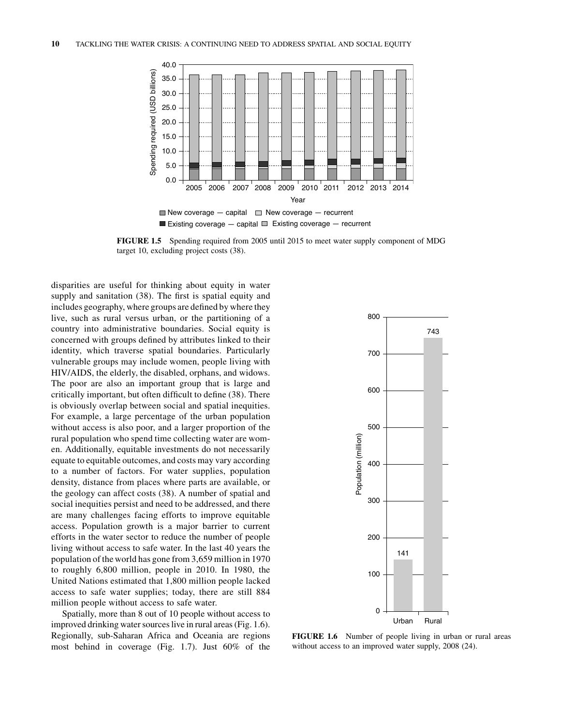

FIGURE 1.5 Spending required from 2005 until 2015 to meet water supply component of MDG target 10, excluding project costs (38).

disparities are useful for thinking about equity in water supply and sanitation (38). The first is spatial equity and includes geography, where groups are defined by where they live, such as rural versus urban, or the partitioning of a country into administrative boundaries. Social equity is concerned with groups defined by attributes linked to their identity, which traverse spatial boundaries. Particularly vulnerable groups may include women, people living with HIV/AIDS, the elderly, the disabled, orphans, and widows. The poor are also an important group that is large and critically important, but often difficult to define (38). There is obviously overlap between social and spatial inequities. For example, a large percentage of the urban population without access is also poor, and a larger proportion of the rural population who spend time collecting water are women. Additionally, equitable investments do not necessarily equate to equitable outcomes, and costs may vary according to a number of factors. For water supplies, population density, distance from places where parts are available, or the geology can affect costs (38). A number of spatial and social inequities persist and need to be addressed, and there are many challenges facing efforts to improve equitable access. Population growth is a major barrier to current efforts in the water sector to reduce the number of people living without access to safe water. In the last 40 years the population of the world has gone from 3,659 million in 1970 to roughly 6,800 million, people in 2010. In 1980, the United Nations estimated that 1,800 million people lacked access to safe water supplies; today, there are still 884 million people without access to safe water.

Spatially, more than 8 out of 10 people without access to improved drinking water sources live in rural areas (Fig. 1.6). Regionally, sub-Saharan Africa and Oceania are regions most behind in coverage (Fig. 1.7). Just 60% of the



FIGURE 1.6 Number of people living in urban or rural areas without access to an improved water supply, 2008 (24).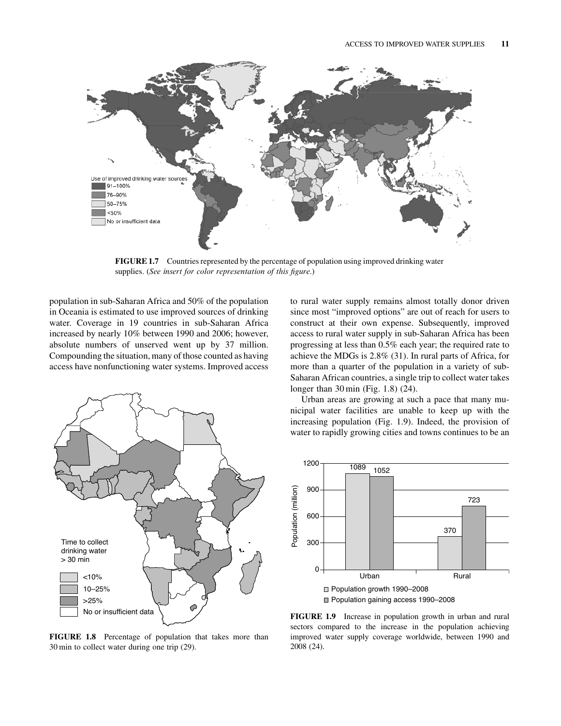

FIGURE 1.7 Countries represented by the percentage of population using improved drinking water supplies. (See insert for color representation of this figure.)

population in sub-Saharan Africa and 50% of the population in Oceania is estimated to use improved sources of drinking water. Coverage in 19 countries in sub-Saharan Africa increased by nearly 10% between 1990 and 2006; however, absolute numbers of unserved went up by 37 million. Compounding the situation, many of those counted as having access have nonfunctioning water systems. Improved access



FIGURE 1.8 Percentage of population that takes more than 30 min to collect water during one trip (29).

to rural water supply remains almost totally donor driven since most "improved options" are out of reach for users to construct at their own expense. Subsequently, improved access to rural water supply in sub-Saharan Africa has been progressing at less than 0.5% each year; the required rate to achieve the MDGs is 2.8% (31). In rural parts of Africa, for more than a quarter of the population in a variety of sub-Saharan African countries, a single trip to collect water takes longer than 30 min (Fig. 1.8) (24).

Urban areas are growing at such a pace that many municipal water facilities are unable to keep up with the increasing population (Fig. 1.9). Indeed, the provision of water to rapidly growing cities and towns continues to be an



FIGURE 1.9 Increase in population growth in urban and rural sectors compared to the increase in the population achieving improved water supply coverage worldwide, between 1990 and 2008 (24).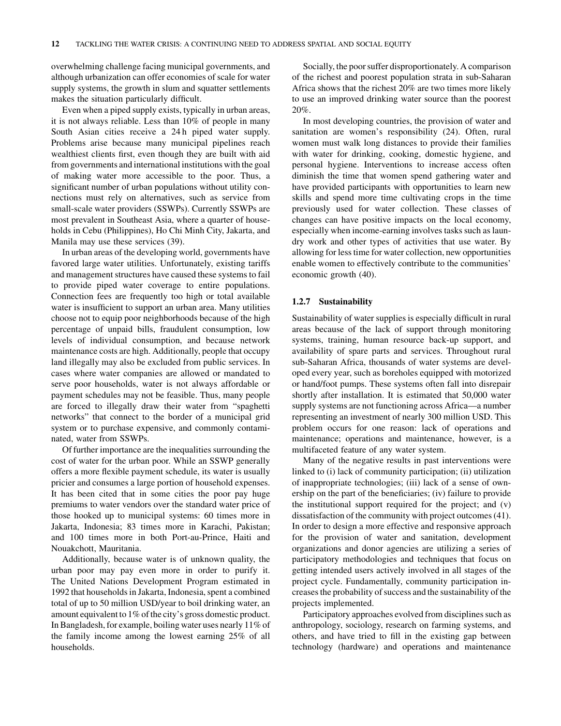overwhelming challenge facing municipal governments, and although urbanization can offer economies of scale for water supply systems, the growth in slum and squatter settlements makes the situation particularly difficult.

Even when a piped supply exists, typically in urban areas, it is not always reliable. Less than 10% of people in many South Asian cities receive a 24 h piped water supply. Problems arise because many municipal pipelines reach wealthiest clients first, even though they are built with aid from governments and international institutions with the goal of making water more accessible to the poor. Thus, a significant number of urban populations without utility connections must rely on alternatives, such as service from small-scale water providers (SSWPs). Currently SSWPs are most prevalent in Southeast Asia, where a quarter of households in Cebu (Philippines), Ho Chi Minh City, Jakarta, and Manila may use these services (39).

In urban areas of the developing world, governments have favored large water utilities. Unfortunately, existing tariffs and management structures have caused these systems to fail to provide piped water coverage to entire populations. Connection fees are frequently too high or total available water is insufficient to support an urban area. Many utilities choose not to equip poor neighborhoods because of the high percentage of unpaid bills, fraudulent consumption, low levels of individual consumption, and because network maintenance costs are high. Additionally, people that occupy land illegally may also be excluded from public services. In cases where water companies are allowed or mandated to serve poor households, water is not always affordable or payment schedules may not be feasible. Thus, many people are forced to illegally draw their water from "spaghetti networks" that connect to the border of a municipal grid system or to purchase expensive, and commonly contaminated, water from SSWPs.

Of further importance are the inequalities surrounding the cost of water for the urban poor. While an SSWP generally offers a more flexible payment schedule, its water is usually pricier and consumes a large portion of household expenses. It has been cited that in some cities the poor pay huge premiums to water vendors over the standard water price of those hooked up to municipal systems: 60 times more in Jakarta, Indonesia; 83 times more in Karachi, Pakistan; and 100 times more in both Port-au-Prince, Haiti and Nouakchott, Mauritania.

Additionally, because water is of unknown quality, the urban poor may pay even more in order to purify it. The United Nations Development Program estimated in 1992 that households in Jakarta, Indonesia, spent a combined total of up to 50 million USD/year to boil drinking water, an amount equivalent to 1% of the city's gross domestic product. In Bangladesh, for example, boiling water uses nearly 11% of the family income among the lowest earning 25% of all households.

Socially, the poor suffer disproportionately. A comparison of the richest and poorest population strata in sub-Saharan Africa shows that the richest 20% are two times more likely to use an improved drinking water source than the poorest 20%.

In most developing countries, the provision of water and sanitation are women's responsibility (24). Often, rural women must walk long distances to provide their families with water for drinking, cooking, domestic hygiene, and personal hygiene. Interventions to increase access often diminish the time that women spend gathering water and have provided participants with opportunities to learn new skills and spend more time cultivating crops in the time previously used for water collection. These classes of changes can have positive impacts on the local economy, especially when income-earning involves tasks such as laundry work and other types of activities that use water. By allowing for less time for water collection, new opportunities enable women to effectively contribute to the communities' economic growth (40).

#### 1.2.7 Sustainability

Sustainability of water supplies is especially difficult in rural areas because of the lack of support through monitoring systems, training, human resource back-up support, and availability of spare parts and services. Throughout rural sub-Saharan Africa, thousands of water systems are developed every year, such as boreholes equipped with motorized or hand/foot pumps. These systems often fall into disrepair shortly after installation. It is estimated that 50,000 water supply systems are not functioning across Africa—a number representing an investment of nearly 300 million USD. This problem occurs for one reason: lack of operations and maintenance; operations and maintenance, however, is a multifaceted feature of any water system.

Many of the negative results in past interventions were linked to (i) lack of community participation; (ii) utilization of inappropriate technologies; (iii) lack of a sense of ownership on the part of the beneficiaries; (iv) failure to provide the institutional support required for the project; and (v) dissatisfaction of the community with project outcomes (41). In order to design a more effective and responsive approach for the provision of water and sanitation, development organizations and donor agencies are utilizing a series of participatory methodologies and techniques that focus on getting intended users actively involved in all stages of the project cycle. Fundamentally, community participation increases the probability of success and the sustainability of the projects implemented.

Participatory approaches evolved from disciplines such as anthropology, sociology, research on farming systems, and others, and have tried to fill in the existing gap between technology (hardware) and operations and maintenance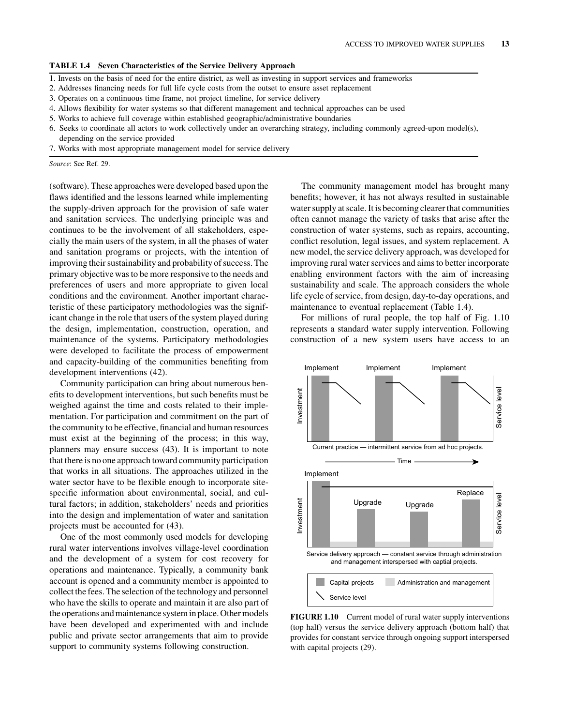#### TABLE 1.4 Seven Characteristics of the Service Delivery Approach

- 1. Invests on the basis of need for the entire district, as well as investing in support services and frameworks
- 2. Addresses financing needs for full life cycle costs from the outset to ensure asset replacement
- 3. Operates on a continuous time frame, not project timeline, for service delivery
- 4. Allows flexibility for water systems so that different management and technical approaches can be used
- 5. Works to achieve full coverage within established geographic/administrative boundaries
- 6. Seeks to coordinate all actors to work collectively under an overarching strategy, including commonly agreed-upon model(s), depending on the service provided
- 7. Works with most appropriate management model for service delivery

Source: See Ref. 29.

(software). These approaches were developed based upon the flaws identified and the lessons learned while implementing the supply-driven approach for the provision of safe water and sanitation services. The underlying principle was and continues to be the involvement of all stakeholders, especially the main users of the system, in all the phases of water and sanitation programs or projects, with the intention of improving their sustainability and probability of success. The primary objective was to be more responsive to the needs and preferences of users and more appropriate to given local conditions and the environment. Another important characteristic of these participatory methodologies was the significant change in the role that users of the system played during the design, implementation, construction, operation, and maintenance of the systems. Participatory methodologies were developed to facilitate the process of empowerment and capacity-building of the communities benefiting from development interventions (42).

Community participation can bring about numerous benefits to development interventions, but such benefits must be weighed against the time and costs related to their implementation. For participation and commitment on the part of the community to be effective, financial and human resources must exist at the beginning of the process; in this way, planners may ensure success (43). It is important to note that there is no one approach toward community participation that works in all situations. The approaches utilized in the water sector have to be flexible enough to incorporate sitespecific information about environmental, social, and cultural factors; in addition, stakeholders' needs and priorities into the design and implementation of water and sanitation projects must be accounted for (43).

One of the most commonly used models for developing rural water interventions involves village-level coordination and the development of a system for cost recovery for operations and maintenance. Typically, a community bank account is opened and a community member is appointed to collect the fees. The selection of the technology and personnel who have the skills to operate and maintain it are also part of the operations and maintenance system in place. Other models have been developed and experimented with and include public and private sector arrangements that aim to provide support to community systems following construction.

The community management model has brought many benefits; however, it has not always resulted in sustainable water supply at scale. It is becoming clearer that communities often cannot manage the variety of tasks that arise after the construction of water systems, such as repairs, accounting, conflict resolution, legal issues, and system replacement. A new model, the service delivery approach, was developed for improving rural water services and aims to better incorporate enabling environment factors with the aim of increasing sustainability and scale. The approach considers the whole life cycle of service, from design, day-to-day operations, and maintenance to eventual replacement (Table 1.4).

For millions of rural people, the top half of Fig. 1.10 represents a standard water supply intervention. Following construction of a new system users have access to an



FIGURE 1.10 Current model of rural water supply interventions (top half) versus the service delivery approach (bottom half) that provides for constant service through ongoing support interspersed with capital projects (29).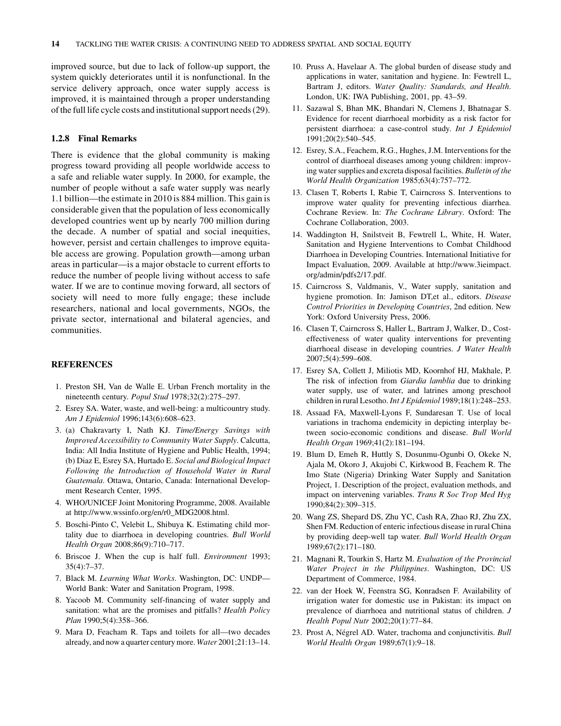improved source, but due to lack of follow-up support, the system quickly deteriorates until it is nonfunctional. In the service delivery approach, once water supply access is improved, it is maintained through a proper understanding of the full life cycle costs and institutional support needs (29).

### 1.2.8 Final Remarks

There is evidence that the global community is making progress toward providing all people worldwide access to a safe and reliable water supply. In 2000, for example, the number of people without a safe water supply was nearly 1.1 billion—the estimate in 2010 is 884 million. This gain is considerable given that the population of less economically developed countries went up by nearly 700 million during the decade. A number of spatial and social inequities, however, persist and certain challenges to improve equitable access are growing. Population growth—among urban areas in particular—is a major obstacle to current efforts to reduce the number of people living without access to safe water. If we are to continue moving forward, all sectors of society will need to more fully engage; these include researchers, national and local governments, NGOs, the private sector, international and bilateral agencies, and communities.

#### **REFERENCES**

- 1. Preston SH, Van de Walle E. Urban French mortality in the nineteenth century. Popul Stud 1978;32(2):275–297.
- 2. Esrey SA. Water, waste, and well-being: a multicountry study. Am J Epidemiol 1996;143(6):608–623.
- 3. (a) Chakravarty I, Nath KJ. Time/Energy Savings with Improved Accessibility to Community Water Supply. Calcutta, India: All India Institute of Hygiene and Public Health, 1994; (b) Diaz E, Esrey SA, Hurtado E. Social and Biological Impact Following the Introduction of Household Water in Rural Guatemala. Ottawa, Ontario, Canada: International Development Research Center, 1995.
- 4. WHO/UNICEF Joint Monitoring Programme, 2008. Available at http://www.wssinfo.org/en/r0\_MDG2008.html.
- 5. Boschi-Pinto C, Velebit L, Shibuya K. Estimating child mortality due to diarrhoea in developing countries. Bull World Health Organ 2008;86(9):710–717.
- 6. Briscoe J. When the cup is half full. Environment 1993; 35(4):7–37.
- 7. Black M. Learning What Works. Washington, DC: UNDP— World Bank: Water and Sanitation Program, 1998.
- 8. Yacoob M. Community self-financing of water supply and sanitation: what are the promises and pitfalls? Health Policy Plan 1990;5(4):358–366.
- 9. Mara D, Feacham R. Taps and toilets for all—two decades already, and now a quarter century more. Water 2001;21:13–14.
- 10. Pruss A, Havelaar A. The global burden of disease study and applications in water, sanitation and hygiene. In: Fewtrell L, Bartram J, editors. Water Quality: Standards, and Health. London, UK: IWA Publishing, 2001, pp. 43–59.
- 11. Sazawal S, Bhan MK, Bhandari N, Clemens J, Bhatnagar S. Evidence for recent diarrhoeal morbidity as a risk factor for persistent diarrhoea: a case-control study. Int J Epidemiol 1991;20(2):540–545.
- 12. Esrey, S.A., Feachem, R.G., Hughes, J.M. Interventions for the control of diarrhoeal diseases among young children: improving water supplies and excreta disposal facilities. Bulletin of the World Health Organization 1985;63(4):757–772.
- 13. Clasen T, Roberts I, Rabie T, Cairncross S. Interventions to improve water quality for preventing infectious diarrhea. Cochrane Review. In: The Cochrane Library. Oxford: The Cochrane Collaboration, 2003.
- 14. Waddington H, Snilstveit B, Fewtrell L, White, H. Water, Sanitation and Hygiene Interventions to Combat Childhood Diarrhoea in Developing Countries. International Initiative for Impact Evaluation, 2009. Available at http://www.3ieimpact. org/admin/pdfs2/17.pdf.
- 15. Cairncross S, Valdmanis, V., Water supply, sanitation and hygiene promotion. In: Jamison DT,et al., editors. Disease Control Priorities in Developing Countries, 2nd edition. New York: Oxford University Press, 2006.
- 16. Clasen T, Cairncross S, Haller L, Bartram J, Walker, D., Costeffectiveness of water quality interventions for preventing diarrhoeal disease in developing countries. J Water Health 2007;5(4):599–608.
- 17. Esrey SA, Collett J, Miliotis MD, Koornhof HJ, Makhale, P. The risk of infection from Giardia lamblia due to drinking water supply, use of water, and latrines among preschool children in rural Lesotho. Int J Epidemiol 1989;18(1):248-253.
- 18. Assaad FA, Maxwell-Lyons F, Sundaresan T. Use of local variations in trachoma endemicity in depicting interplay between socio-economic conditions and disease. Bull World Health Organ 1969;41(2):181–194.
- 19. Blum D, Emeh R, Huttly S, Dosunmu-Ogunbi O, Okeke N, Ajala M, Okoro J, Akujobi C, Kirkwood B, Feachem R. The Imo State (Nigeria) Drinking Water Supply and Sanitation Project, 1. Description of the project, evaluation methods, and impact on intervening variables. Trans R Soc Trop Med Hyg 1990;84(2):309–315.
- 20. Wang ZS, Shepard DS, Zhu YC, Cash RA, Zhao RJ, Zhu ZX, Shen FM. Reduction of enteric infectious disease in rural China by providing deep-well tap water. Bull World Health Organ 1989;67(2):171–180.
- 21. Magnani R, Tourkin S, Hartz M. Evaluation of the Provincial Water Project in the Philippines. Washington, DC: US Department of Commerce, 1984.
- 22. van der Hoek W, Feenstra SG, Konradsen F. Availability of irrigation water for domestic use in Pakistan: its impact on prevalence of diarrhoea and nutritional status of children. J Health Popul Nutr 2002;20(1):77–84.
- 23. Prost A, Négrel AD. Water, trachoma and conjunctivitis. Bull World Health Organ 1989;67(1):9–18.